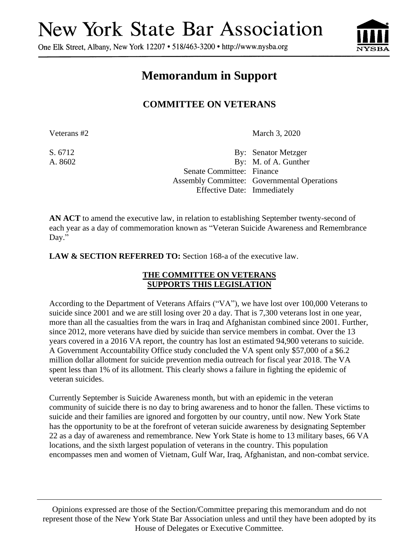## **New York State Bar Association**

One Elk Street, Albany, New York 12207 • 518/463-3200 • http://www.nysba.org



## **Memorandum in Support**

## **COMMITTEE ON VETERANS**

Veterans #2 March 3, 2020

S. 6712 By: Senator Metzger A. 8602 By: M. of A. Gunther Senate Committee: Finance Assembly Committee: Governmental Operations Effective Date: Immediately

**AN ACT** to amend the executive law, in relation to establishing September twenty-second of each year as a day of commemoration known as "Veteran Suicide Awareness and Remembrance Day."

**LAW & SECTION REFERRED TO:** Section 168-a of the executive law.

## **THE COMMITTEE ON VETERANS SUPPORTS THIS LEGISLATION**

According to the Department of Veterans Affairs ("VA"), we have lost over 100,000 Veterans to suicide since 2001 and we are still losing over 20 a day. That is 7,300 veterans lost in one year, more than all the casualties from the wars in Iraq and Afghanistan combined since 2001. Further, since 2012, more veterans have died by suicide than service members in combat. Over the 13 years covered in a 2016 VA report, the country has lost an estimated 94,900 veterans to suicide. A Government Accountability Office study concluded the VA spent only \$57,000 of a \$6.2 million dollar allotment for suicide prevention media outreach for fiscal year 2018. The VA spent less than 1% of its allotment. This clearly shows a failure in fighting the epidemic of veteran suicides.

Currently September is Suicide Awareness month, but with an epidemic in the veteran community of suicide there is no day to bring awareness and to honor the fallen. These victims to suicide and their families are ignored and forgotten by our country, until now. New York State has the opportunity to be at the forefront of veteran suicide awareness by designating September 22 as a day of awareness and remembrance. New York State is home to 13 military bases, 66 VA locations, and the sixth largest population of veterans in the country. This population encompasses men and women of Vietnam, Gulf War, Iraq, Afghanistan, and non-combat service.

Opinions expressed are those of the Section/Committee preparing this memorandum and do not represent those of the New York State Bar Association unless and until they have been adopted by its House of Delegates or Executive Committee.